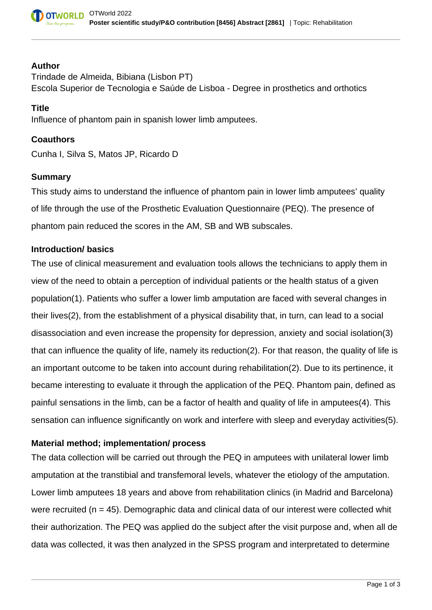

#### **Author**

Trindade de Almeida, Bibiana (Lisbon PT) Escola Superior de Tecnologia e Saúde de Lisboa - Degree in prosthetics and orthotics

### **Title**

Influence of phantom pain in spanish lower limb amputees.

### **Coauthors**

Cunha I, Silva S, Matos JP, Ricardo D

### **Summary**

This study aims to understand the influence of phantom pain in lower limb amputees' quality of life through the use of the Prosthetic Evaluation Questionnaire (PEQ). The presence of phantom pain reduced the scores in the AM, SB and WB subscales.

### **Introduction/ basics**

The use of clinical measurement and evaluation tools allows the technicians to apply them in view of the need to obtain a perception of individual patients or the health status of a given population(1). Patients who suffer a lower limb amputation are faced with several changes in their lives(2), from the establishment of a physical disability that, in turn, can lead to a social disassociation and even increase the propensity for depression, anxiety and social isolation(3) that can influence the quality of life, namely its reduction(2). For that reason, the quality of life is an important outcome to be taken into account during rehabilitation(2). Due to its pertinence, it became interesting to evaluate it through the application of the PEQ. Phantom pain, defined as painful sensations in the limb, can be a factor of health and quality of life in amputees(4). This sensation can influence significantly on work and interfere with sleep and everyday activities(5).

# **Material method; implementation/ process**

The data collection will be carried out through the PEQ in amputees with unilateral lower limb amputation at the transtibial and transfemoral levels, whatever the etiology of the amputation. Lower limb amputees 18 years and above from rehabilitation clinics (in Madrid and Barcelona) were recruited ( $n = 45$ ). Demographic data and clinical data of our interest were collected whit their authorization. The PEQ was applied do the subject after the visit purpose and, when all de data was collected, it was then analyzed in the SPSS program and interpretated to determine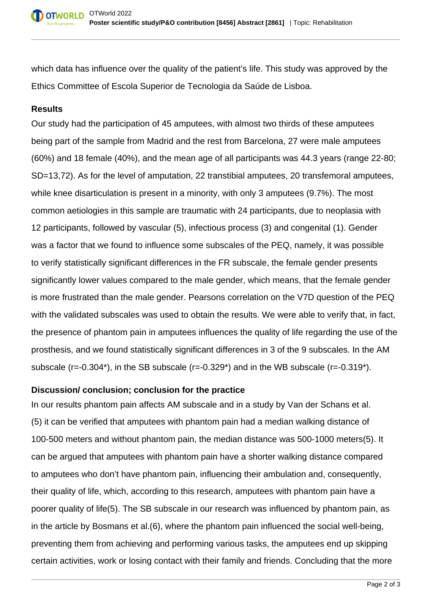which data has influence over the quality of the patient's life. This study was approved by the Ethics Committee of Escola Superior de Tecnologia da Saúde de Lisboa.

# **Results**

Our study had the participation of 45 amputees, with almost two thirds of these amputees being part of the sample from Madrid and the rest from Barcelona, 27 were male amputees (60%) and 18 female (40%), and the mean age of all participants was 44.3 years (range 22-80; SD=13,72). As for the level of amputation, 22 transtibial amputees, 20 transfemoral amputees, while knee disarticulation is present in a minority, with only 3 amputees (9.7%). The most common aetiologies in this sample are traumatic with 24 participants, due to neoplasia with 12 participants, followed by vascular (5), infectious process (3) and congenital (1). Gender was a factor that we found to influence some subscales of the PEQ, namely, it was possible to verify statistically significant differences in the FR subscale, the female gender presents significantly lower values compared to the male gender, which means, that the female gender is more frustrated than the male gender. Pearsons correlation on the V7D question of the PEQ with the validated subscales was used to obtain the results. We were able to verify that, in fact, the presence of phantom pain in amputees influences the quality of life regarding the use of the prosthesis, and we found statistically significant differences in 3 of the 9 subscales. In the AM subscale (r=-0.304\*), in the SB subscale (r=-0.329\*) and in the WB subscale (r=-0.319\*).

## **Discussion/ conclusion; conclusion for the practice**

In our results phantom pain affects AM subscale and in a study by Van der Schans et al. (5) it can be verified that amputees with phantom pain had a median walking distance of 100-500 meters and without phantom pain, the median distance was 500-1000 meters(5). It can be argued that amputees with phantom pain have a shorter walking distance compared to amputees who don't have phantom pain, influencing their ambulation and, consequently, their quality of life, which, according to this research, amputees with phantom pain have a poorer quality of life(5). The SB subscale in our research was influenced by phantom pain, as in the article by Bosmans et al.(6), where the phantom pain influenced the social well-being, preventing them from achieving and performing various tasks, the amputees end up skipping certain activities, work or losing contact with their family and friends. Concluding that the more